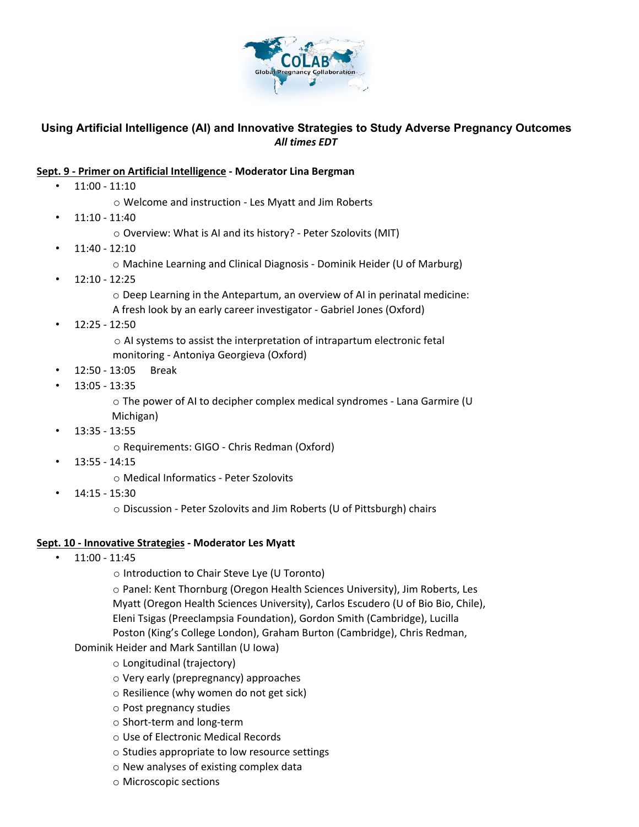

## **Using Artificial Intelligence (AI) and Innovative Strategies to Study Adverse Pregnancy Outcomes**  *All times EDT*

## **Sept. 9 - Primer on Artificial Intelligence - Moderator Lina Bergman**

- 11:00 11:10
	- o Welcome and instruction Les Myatt and Jim Roberts
- 11:10 11:40
	- o Overview: What is AI and its history? Peter Szolovits (MIT)
- 11:40 12:10
	- o Machine Learning and Clinical Diagnosis Dominik Heider (U of Marburg)
- 12:10 12:25
	- $\circ$  Deep Learning in the Antepartum, an overview of AI in perinatal medicine: A fresh look by an early career investigator - Gabriel Jones (Oxford)
- $\cdot$  12:25 12:50

o AI systems to assist the interpretation of intrapartum electronic fetal monitoring - Antoniya Georgieva (Oxford)

- 12:50 13:05 Break
- 13:05 13:35

o The power of AI to decipher complex medical syndromes - Lana Garmire (U Michigan)

• 13:35 - 13:55

o Requirements: GIGO - Chris Redman (Oxford)

• 13:55 - 14:15

o Medical Informatics - Peter Szolovits

• 14:15 - 15:30

o Discussion - Peter Szolovits and Jim Roberts (U of Pittsburgh) chairs

## **Sept. 10 - Innovative Strategies - Moderator Les Myatt**

• 11:00 - 11:45

o Introduction to Chair Steve Lye (U Toronto)

o Panel: Kent Thornburg (Oregon Health Sciences University), Jim Roberts, Les Myatt (Oregon Health Sciences University), Carlos Escudero (U of Bio Bio, Chile), Eleni Tsigas (Preeclampsia Foundation), Gordon Smith (Cambridge), Lucilla Poston (King's College London), Graham Burton (Cambridge), Chris Redman,

Dominik Heider and Mark Santillan (U Iowa)

- o Longitudinal (trajectory)
- o Very early (prepregnancy) approaches
- o Resilience (why women do not get sick)
- o Post pregnancy studies
- o Short-term and long-term
- o Use of Electronic Medical Records
- o Studies appropriate to low resource settings
- o New analyses of existing complex data
- o Microscopic sections